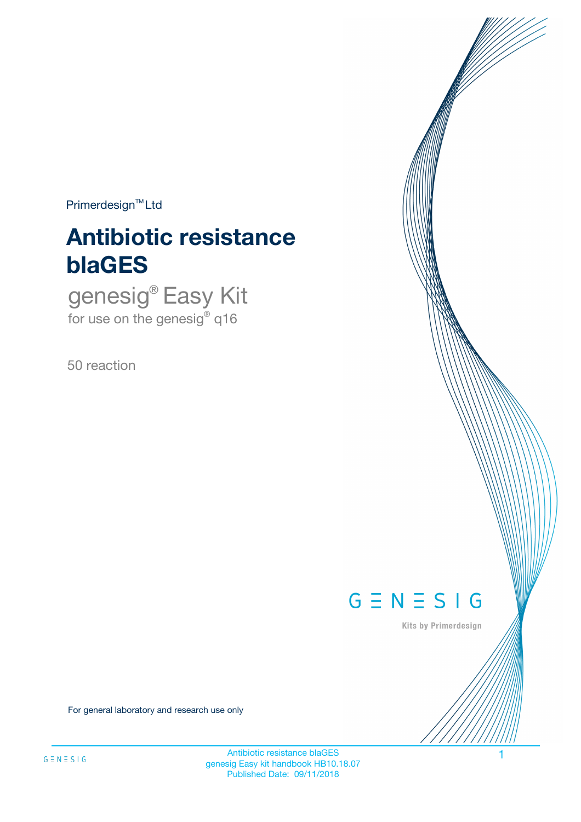$Primerdesign^{\text{TM}}Ltd$ 

# **Antibiotic resistance blaGES**

genesig® Easy Kit for use on the genesig® q16

50 reaction



Kits by Primerdesign

For general laboratory and research use only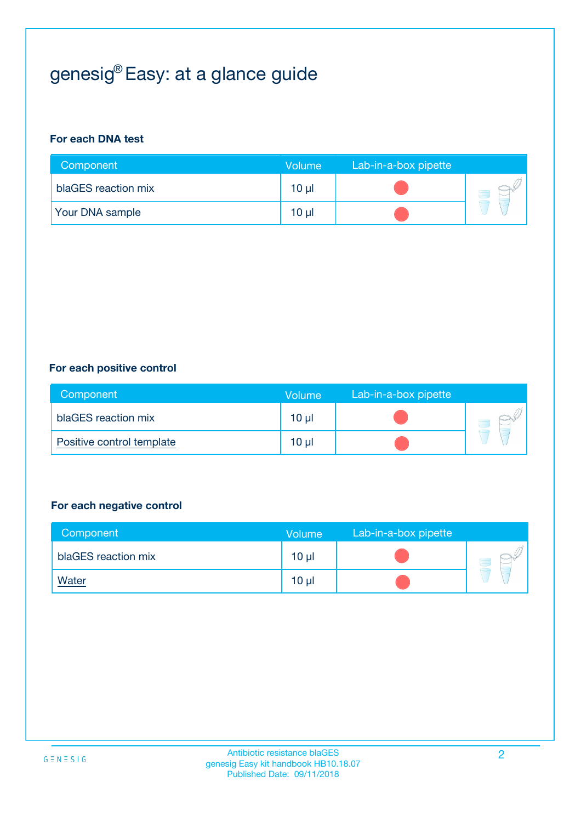## genesig® Easy: at a glance guide

#### **For each DNA test**

| Component              | <b>Volume</b> | Lab-in-a-box pipette |  |
|------------------------|---------------|----------------------|--|
| blaGES reaction mix    | 10 µl         |                      |  |
| <b>Your DNA sample</b> | $10 \mu$      |                      |  |

#### **For each positive control**

| Component                 | Volume          | Lab-in-a-box pipette |  |
|---------------------------|-----------------|----------------------|--|
| blaGES reaction mix       | 10 <sub>µ</sub> |                      |  |
| Positive control template | $10 \mu$        |                      |  |

#### **For each negative control**

| Component           | <b>Volume</b>   | Lab-in-a-box pipette |  |
|---------------------|-----------------|----------------------|--|
| blaGES reaction mix | 10 <sub>µ</sub> |                      |  |
| <u>Water</u>        | 10 <sub>µ</sub> |                      |  |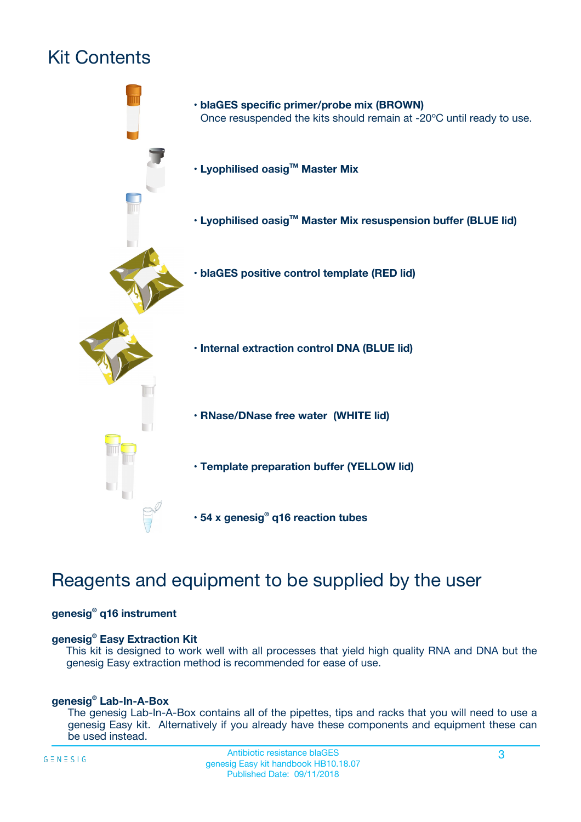## Kit Contents



### Reagents and equipment to be supplied by the user

#### **genesig® q16 instrument**

#### **genesig® Easy Extraction Kit**

This kit is designed to work well with all processes that yield high quality RNA and DNA but the genesig Easy extraction method is recommended for ease of use.

#### **genesig® Lab-In-A-Box**

The genesig Lab-In-A-Box contains all of the pipettes, tips and racks that you will need to use a genesig Easy kit. Alternatively if you already have these components and equipment these can be used instead.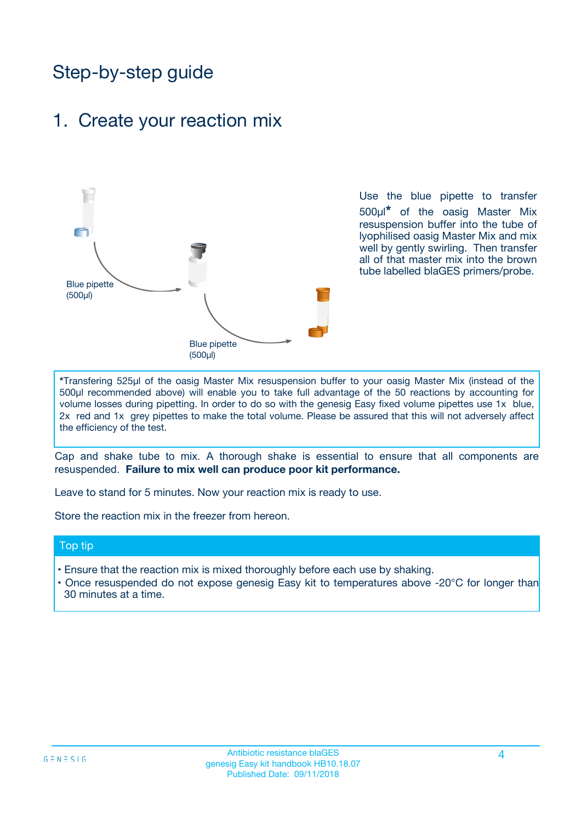### Step-by-step guide

### 1. Create your reaction mix



Use the blue pipette to transfer 500µl**\*** of the oasig Master Mix resuspension buffer into the tube of lyophilised oasig Master Mix and mix well by gently swirling. Then transfer all of that master mix into the brown tube labelled blaGES primers/probe.

**\***Transfering 525µl of the oasig Master Mix resuspension buffer to your oasig Master Mix (instead of the 500µl recommended above) will enable you to take full advantage of the 50 reactions by accounting for volume losses during pipetting. In order to do so with the genesig Easy fixed volume pipettes use 1x blue, 2x red and 1x grey pipettes to make the total volume. Please be assured that this will not adversely affect the efficiency of the test.

Cap and shake tube to mix. A thorough shake is essential to ensure that all components are resuspended. **Failure to mix well can produce poor kit performance.**

Leave to stand for 5 minutes. Now your reaction mix is ready to use.

Store the reaction mix in the freezer from hereon.

#### Top tip

- Ensure that the reaction mix is mixed thoroughly before each use by shaking.
- **•** Once resuspended do not expose genesig Easy kit to temperatures above -20°C for longer than 30 minutes at a time.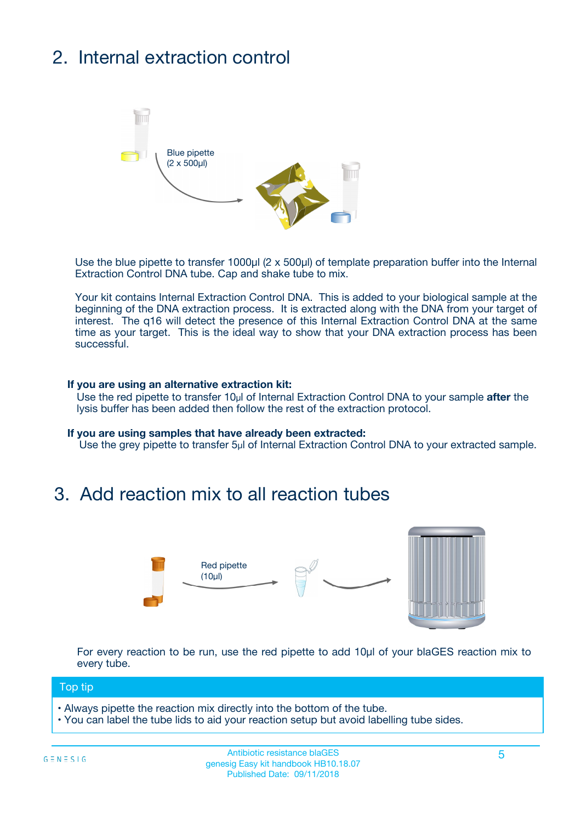## 2. Internal extraction control



Use the blue pipette to transfer 1000µl (2 x 500µl) of template preparation buffer into the Internal Extraction Control DNA tube. Cap and shake tube to mix.

Your kit contains Internal Extraction Control DNA. This is added to your biological sample at the beginning of the DNA extraction process. It is extracted along with the DNA from your target of interest. The q16 will detect the presence of this Internal Extraction Control DNA at the same time as your target. This is the ideal way to show that your DNA extraction process has been successful.

#### **If you are using an alternative extraction kit:**

Use the red pipette to transfer 10µl of Internal Extraction Control DNA to your sample **after** the lysis buffer has been added then follow the rest of the extraction protocol.

#### **If you are using samples that have already been extracted:**

Use the grey pipette to transfer 5µl of Internal Extraction Control DNA to your extracted sample.

### 3. Add reaction mix to all reaction tubes



For every reaction to be run, use the red pipette to add 10µl of your blaGES reaction mix to every tube.

#### Top tip

- Always pipette the reaction mix directly into the bottom of the tube.
- You can label the tube lids to aid your reaction setup but avoid labelling tube sides.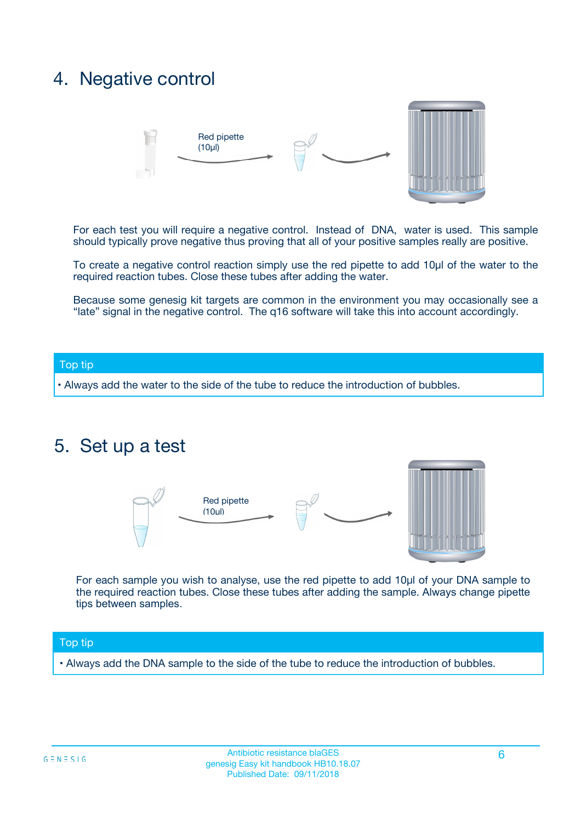### 4. Negative control



For each test you will require a negative control. Instead of DNA, water is used. This sample should typically prove negative thus proving that all of your positive samples really are positive.

To create a negative control reaction simply use the red pipette to add 10µl of the water to the required reaction tubes. Close these tubes after adding the water.

Because some genesig kit targets are common in the environment you may occasionally see a "late" signal in the negative control. The q16 software will take this into account accordingly.

#### Top tip

**•** Always add the water to the side of the tube to reduce the introduction of bubbles.

### 5. Set up a test



For each sample you wish to analyse, use the red pipette to add 10µl of your DNA sample to the required reaction tubes. Close these tubes after adding the sample. Always change pipette tips between samples.

#### Top tip

**•** Always add the DNA sample to the side of the tube to reduce the introduction of bubbles.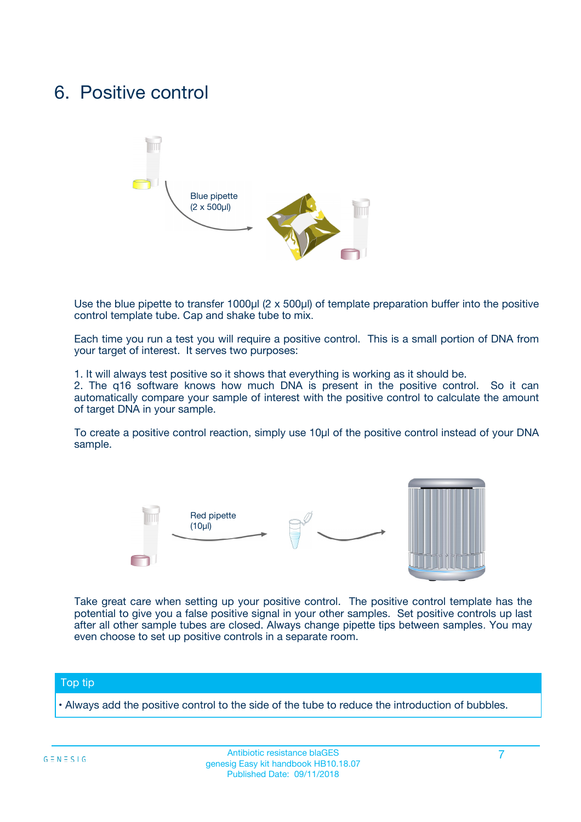### 6. Positive control



Use the blue pipette to transfer 1000µl (2 x 500µl) of template preparation buffer into the positive control template tube. Cap and shake tube to mix.

Each time you run a test you will require a positive control. This is a small portion of DNA from your target of interest. It serves two purposes:

1. It will always test positive so it shows that everything is working as it should be.

2. The q16 software knows how much DNA is present in the positive control. So it can automatically compare your sample of interest with the positive control to calculate the amount of target DNA in your sample.

To create a positive control reaction, simply use 10µl of the positive control instead of your DNA sample.



Take great care when setting up your positive control. The positive control template has the potential to give you a false positive signal in your other samples. Set positive controls up last after all other sample tubes are closed. Always change pipette tips between samples. You may even choose to set up positive controls in a separate room.

#### Top tip

**•** Always add the positive control to the side of the tube to reduce the introduction of bubbles.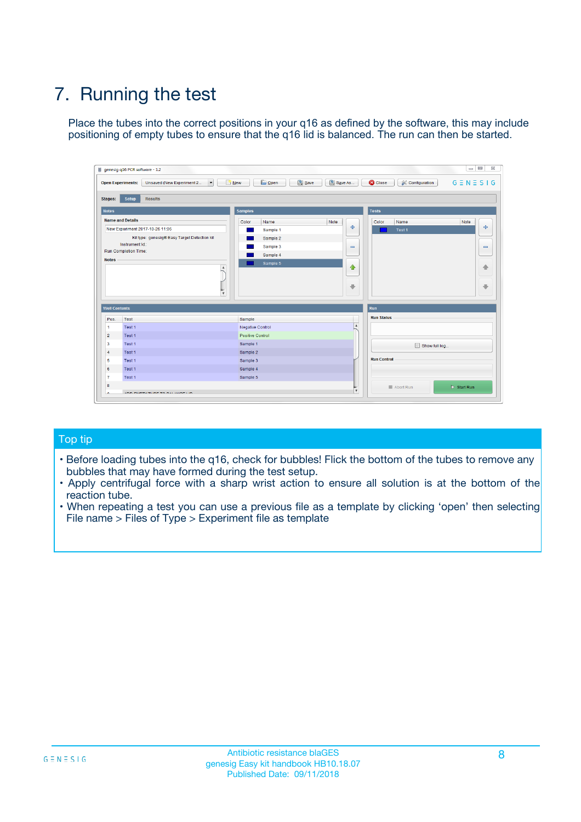## 7. Running the test

Place the tubes into the correct positions in your q16 as defined by the software, this may include positioning of empty tubes to ensure that the q16 lid is balanced. The run can then be started.

| genesig q16 PCR software - 1.2                                               |                                | $\begin{array}{c c c c} \hline \multicolumn{3}{c }{\textbf{0}} & \multicolumn{3}{c }{\textbf{0}} \end{array}$ |                              |
|------------------------------------------------------------------------------|--------------------------------|---------------------------------------------------------------------------------------------------------------|------------------------------|
| $\vert \cdot \vert$<br><b>Open Experiments:</b><br>Unsaved (New Experiment 2 | Open<br>Save<br>$\sqrt{9}$ New | Save As<br><b>C</b> Close<br>$G \equiv N \equiv S \mid G$<br><b>X</b> Configuration                           |                              |
| Setup<br><b>Results</b><br><b>Stages:</b>                                    |                                |                                                                                                               |                              |
| <b>Notes</b>                                                                 | <b>Samples</b>                 | <b>Tests</b>                                                                                                  |                              |
| <b>Name and Details</b>                                                      | Color<br>Name                  | Note<br>Color<br>Note<br>Name                                                                                 |                              |
| New Experiment 2017-10-26 11:06                                              | Sample 1                       | ÷<br>Test <sub>1</sub>                                                                                        | ÷                            |
| Kit type: genesig® Easy Target Detection kit                                 | Sample 2                       |                                                                                                               |                              |
| Instrument Id.:                                                              | Sample 3                       | $\qquad \qquad \blacksquare$                                                                                  | $\qquad \qquad \blacksquare$ |
| <b>Run Completion Time:</b>                                                  | Sample 4                       |                                                                                                               |                              |
| <b>Notes</b><br>A<br>⊺៴                                                      | Sample 5                       | $\triangle$<br>$\oplus$                                                                                       | 借<br>₩                       |
| <b>Well Contents</b>                                                         |                                | Run                                                                                                           |                              |
| Pos.<br><b>Test</b>                                                          | Sample                         | <b>Run Status</b>                                                                                             |                              |
| Test 1<br>-1                                                                 | <b>Negative Control</b>        | $\blacktriangle$                                                                                              |                              |
| $\overline{2}$<br>Test 1                                                     | <b>Positive Control</b>        |                                                                                                               |                              |
| 3<br>Test 1                                                                  | Sample 1                       | Show full log                                                                                                 |                              |
| Test 1<br>$\overline{4}$                                                     | Sample 2                       |                                                                                                               |                              |
| 5<br>Test 1                                                                  | Sample 3                       | <b>Run Control</b>                                                                                            |                              |
| Test 1<br>6                                                                  | Sample 4                       |                                                                                                               |                              |
| $\overline{7}$<br>Test 1                                                     | Sample 5                       |                                                                                                               |                              |
| 8                                                                            |                                | $\triangleright$ Start Run<br>Abort Run                                                                       |                              |
| <b>JOD FURTY TUDE TO BUILDED IN</b>                                          |                                | $\overline{\mathbf{v}}$                                                                                       |                              |

#### Top tip

- Before loading tubes into the q16, check for bubbles! Flick the bottom of the tubes to remove any bubbles that may have formed during the test setup.
- Apply centrifugal force with a sharp wrist action to ensure all solution is at the bottom of the reaction tube.
- When repeating a test you can use a previous file as a template by clicking 'open' then selecting File name > Files of Type > Experiment file as template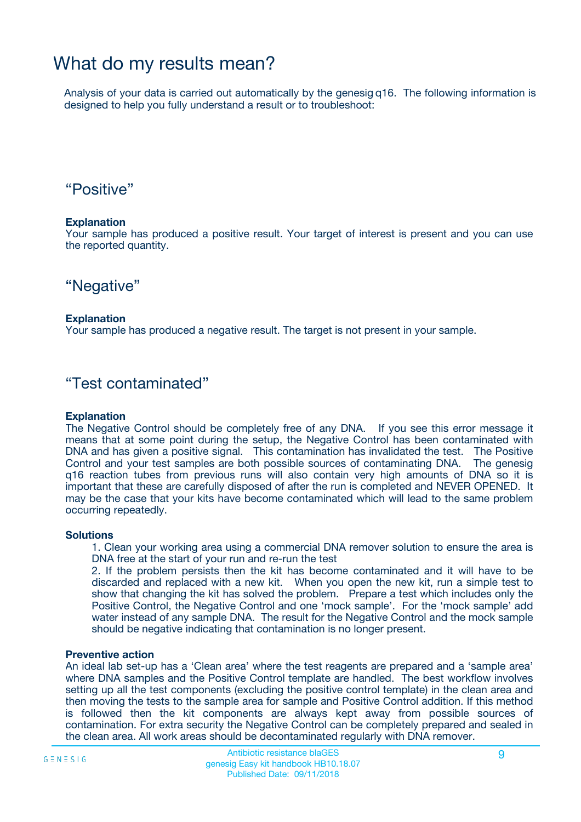### What do my results mean?

Analysis of your data is carried out automatically by the genesig q16. The following information is designed to help you fully understand a result or to troubleshoot:

### "Positive"

#### **Explanation**

Your sample has produced a positive result. Your target of interest is present and you can use the reported quantity.

"Negative"

#### **Explanation**

Your sample has produced a negative result. The target is not present in your sample.

### "Test contaminated"

#### **Explanation**

The Negative Control should be completely free of any DNA. If you see this error message it means that at some point during the setup, the Negative Control has been contaminated with DNA and has given a positive signal. This contamination has invalidated the test. The Positive Control and your test samples are both possible sources of contaminating DNA. The genesig q16 reaction tubes from previous runs will also contain very high amounts of DNA so it is important that these are carefully disposed of after the run is completed and NEVER OPENED. It may be the case that your kits have become contaminated which will lead to the same problem occurring repeatedly.

#### **Solutions**

1. Clean your working area using a commercial DNA remover solution to ensure the area is DNA free at the start of your run and re-run the test

2. If the problem persists then the kit has become contaminated and it will have to be discarded and replaced with a new kit. When you open the new kit, run a simple test to show that changing the kit has solved the problem. Prepare a test which includes only the Positive Control, the Negative Control and one 'mock sample'. For the 'mock sample' add water instead of any sample DNA. The result for the Negative Control and the mock sample should be negative indicating that contamination is no longer present.

#### **Preventive action**

An ideal lab set-up has a 'Clean area' where the test reagents are prepared and a 'sample area' where DNA samples and the Positive Control template are handled. The best workflow involves setting up all the test components (excluding the positive control template) in the clean area and then moving the tests to the sample area for sample and Positive Control addition. If this method is followed then the kit components are always kept away from possible sources of contamination. For extra security the Negative Control can be completely prepared and sealed in the clean area. All work areas should be decontaminated regularly with DNA remover.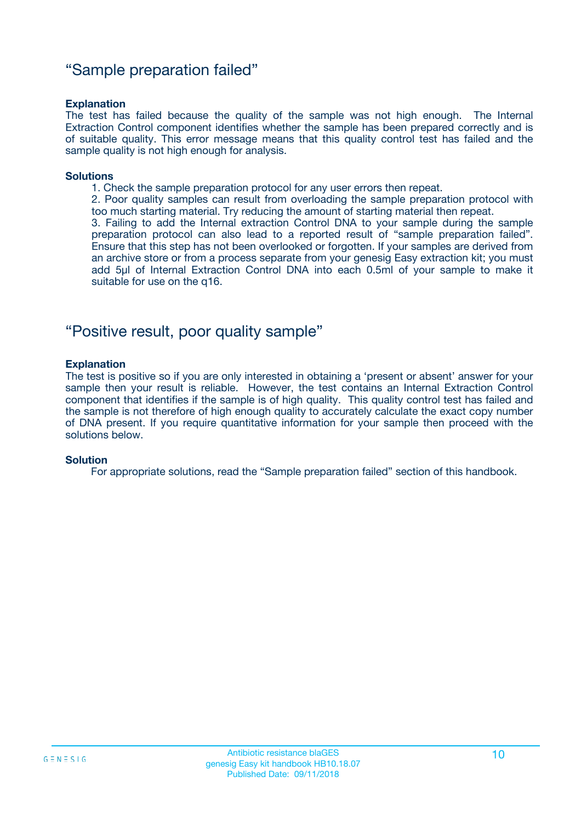### "Sample preparation failed"

#### **Explanation**

The test has failed because the quality of the sample was not high enough. The Internal Extraction Control component identifies whether the sample has been prepared correctly and is of suitable quality. This error message means that this quality control test has failed and the sample quality is not high enough for analysis.

#### **Solutions**

1. Check the sample preparation protocol for any user errors then repeat.

2. Poor quality samples can result from overloading the sample preparation protocol with too much starting material. Try reducing the amount of starting material then repeat.

3. Failing to add the Internal extraction Control DNA to your sample during the sample preparation protocol can also lead to a reported result of "sample preparation failed". Ensure that this step has not been overlooked or forgotten. If your samples are derived from an archive store or from a process separate from your genesig Easy extraction kit; you must add 5µl of Internal Extraction Control DNA into each 0.5ml of your sample to make it suitable for use on the q16.

### "Positive result, poor quality sample"

#### **Explanation**

The test is positive so if you are only interested in obtaining a 'present or absent' answer for your sample then your result is reliable. However, the test contains an Internal Extraction Control component that identifies if the sample is of high quality. This quality control test has failed and the sample is not therefore of high enough quality to accurately calculate the exact copy number of DNA present. If you require quantitative information for your sample then proceed with the solutions below.

#### **Solution**

For appropriate solutions, read the "Sample preparation failed" section of this handbook.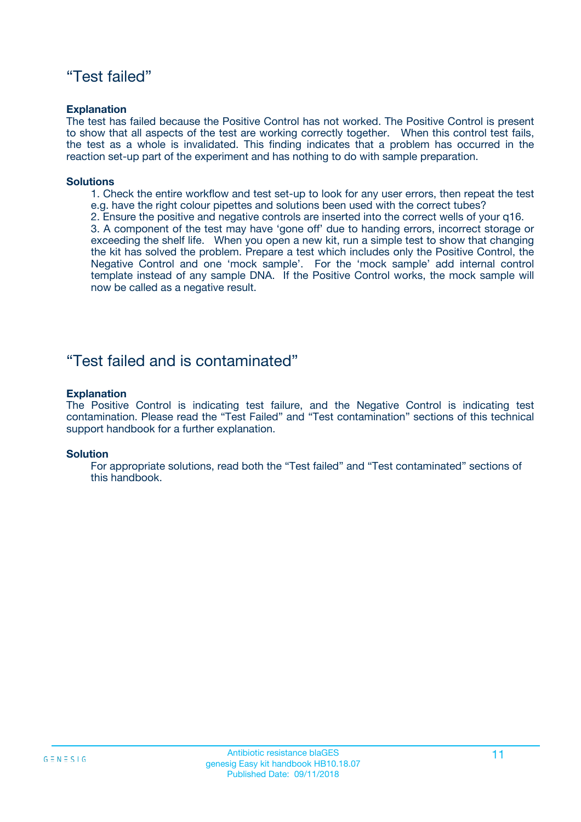### "Test failed"

#### **Explanation**

The test has failed because the Positive Control has not worked. The Positive Control is present to show that all aspects of the test are working correctly together. When this control test fails, the test as a whole is invalidated. This finding indicates that a problem has occurred in the reaction set-up part of the experiment and has nothing to do with sample preparation.

#### **Solutions**

- 1. Check the entire workflow and test set-up to look for any user errors, then repeat the test e.g. have the right colour pipettes and solutions been used with the correct tubes?
- 2. Ensure the positive and negative controls are inserted into the correct wells of your q16.

3. A component of the test may have 'gone off' due to handing errors, incorrect storage or exceeding the shelf life. When you open a new kit, run a simple test to show that changing the kit has solved the problem. Prepare a test which includes only the Positive Control, the Negative Control and one 'mock sample'. For the 'mock sample' add internal control template instead of any sample DNA. If the Positive Control works, the mock sample will now be called as a negative result.

### "Test failed and is contaminated"

#### **Explanation**

The Positive Control is indicating test failure, and the Negative Control is indicating test contamination. Please read the "Test Failed" and "Test contamination" sections of this technical support handbook for a further explanation.

#### **Solution**

For appropriate solutions, read both the "Test failed" and "Test contaminated" sections of this handbook.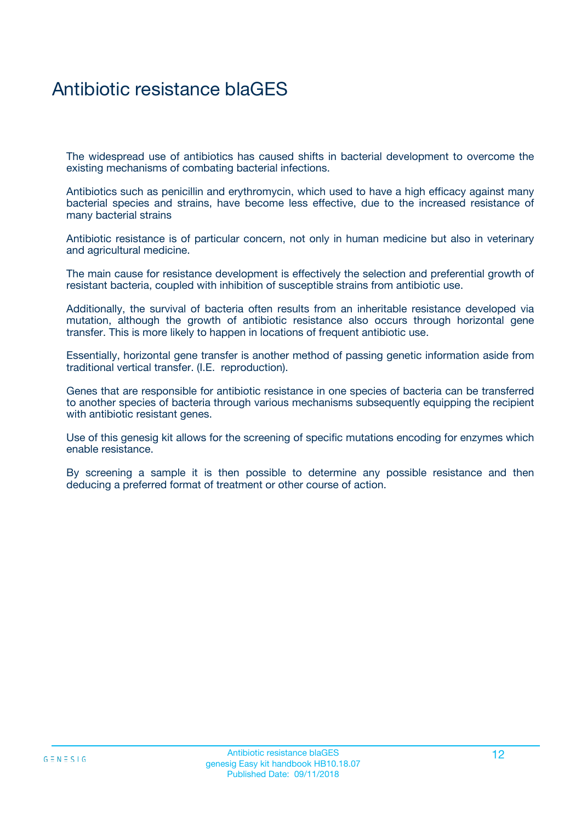## Antibiotic resistance blaGES

The widespread use of antibiotics has caused shifts in bacterial development to overcome the existing mechanisms of combating bacterial infections.

Antibiotics such as penicillin and erythromycin, which used to have a high efficacy against many bacterial species and strains, have become less effective, due to the increased resistance of many bacterial strains

Antibiotic resistance is of particular concern, not only in human medicine but also in veterinary and agricultural medicine.

The main cause for resistance development is effectively the selection and preferential growth of resistant bacteria, coupled with inhibition of susceptible strains from antibiotic use.

Additionally, the survival of bacteria often results from an inheritable resistance developed via mutation, although the growth of antibiotic resistance also occurs through horizontal gene transfer. This is more likely to happen in locations of frequent antibiotic use.

Essentially, horizontal gene transfer is another method of passing genetic information aside from traditional vertical transfer. (I.E. reproduction).

Genes that are responsible for antibiotic resistance in one species of bacteria can be transferred to another species of bacteria through various mechanisms subsequently equipping the recipient with antibiotic resistant genes.

Use of this genesig kit allows for the screening of specific mutations encoding for enzymes which enable resistance.

By screening a sample it is then possible to determine any possible resistance and then deducing a preferred format of treatment or other course of action.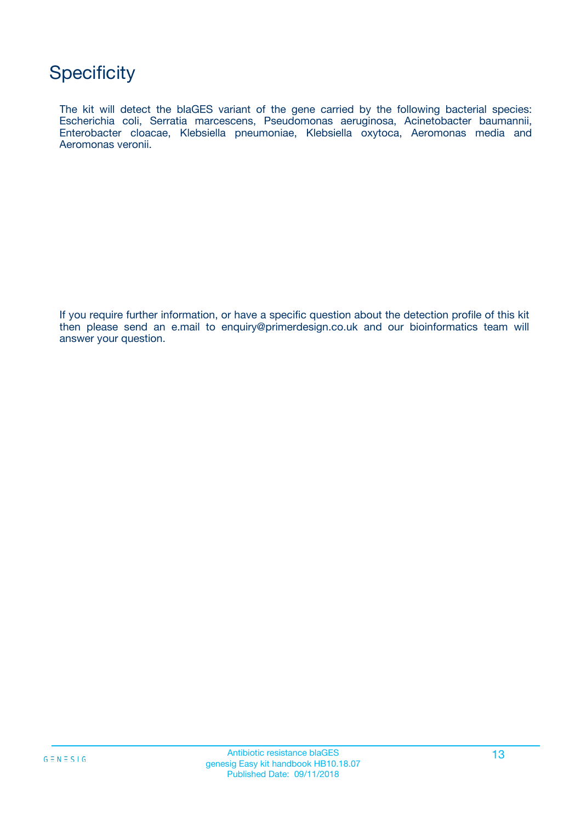### **Specificity**

The kit will detect the blaGES variant of the gene carried by the following bacterial species: Escherichia coli, Serratia marcescens, Pseudomonas aeruginosa, Acinetobacter baumannii, Enterobacter cloacae, Klebsiella pneumoniae, Klebsiella oxytoca, Aeromonas media and Aeromonas veronii.

If you require further information, or have a specific question about the detection profile of this kit then please send an e.mail to enquiry@primerdesign.co.uk and our bioinformatics team will answer your question.